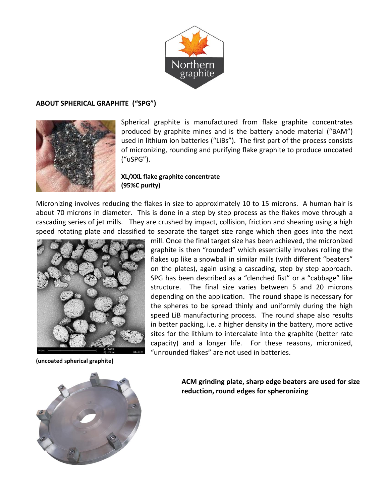

## **ABOUT SPHERICAL GRAPHITE ("SPG")**



Spherical graphite is manufactured from flake graphite concentrates produced by graphite mines and is the battery anode material ("BAM") used in lithium ion batteries ("LiBs"). The first part of the process consists of micronizing, rounding and purifying flake graphite to produce uncoated ("uSPG").

## **XL/XXL flake graphite concentrate (95%C purity)**

Micronizing involves reducing the flakes in size to approximately 10 to 15 microns. A human hair is about 70 microns in diameter. This is done in a step by step process as the flakes move through a cascading series of jet mills. They are crushed by impact, collision, friction and shearing using a high speed rotating plate and classified to separate the target size range which then goes into the next



**(uncoated spherical graphite)**

mill. Once the final target size has been achieved, the micronized graphite is then "rounded" which essentially involves rolling the flakes up like a snowball in similar mills (with different "beaters" on the plates), again using a cascading, step by step approach. SPG has been described as a "clenched fist" or a "cabbage" like structure. The final size varies between 5 and 20 microns depending on the application. The round shape is necessary for the spheres to be spread thinly and uniformly during the high speed LiB manufacturing process. The round shape also results in better packing, i.e. a higher density in the battery, more active sites for the lithium to intercalate into the graphite (better rate capacity) and a longer life. For these reasons, micronized, "unrounded flakes" are not used in batteries.



**ACM grinding plate, sharp edge beaters are used for size reduction, round edges for spheronizing**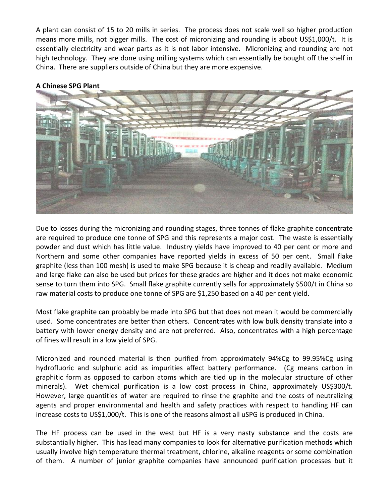A plant can consist of 15 to 20 mills in series. The process does not scale well so higher production means more mills, not bigger mills. The cost of micronizing and rounding is about US\$1,000/t. It is essentially electricity and wear parts as it is not labor intensive. Micronizing and rounding are not high technology. They are done using milling systems which can essentially be bought off the shelf in China. There are suppliers outside of China but they are more expensive.



## **A Chinese SPG Plant**

Due to losses during the micronizing and rounding stages, three tonnes of flake graphite concentrate are required to produce one tonne of SPG and this represents a major cost. The waste is essentially powder and dust which has little value. Industry yields have improved to 40 per cent or more and Northern and some other companies have reported yields in excess of 50 per cent. Small flake graphite (less than 100 mesh) is used to make SPG because it is cheap and readily available. Medium and large flake can also be used but prices for these grades are higher and it does not make economic sense to turn them into SPG. Small flake graphite currently sells for approximately \$500/t in China so raw material costs to produce one tonne of SPG are \$1,250 based on a 40 per cent yield.

Most flake graphite can probably be made into SPG but that does not mean it would be commercially used. Some concentrates are better than others. Concentrates with low bulk density translate into a battery with lower energy density and are not preferred. Also, concentrates with a high percentage of fines will result in a low yield of SPG.

Micronized and rounded material is then purified from approximately 94%Cg to 99.95%Cg using hydrofluoric and sulphuric acid as impurities affect battery performance. (Cg means carbon in graphitic form as opposed to carbon atoms which are tied up in the molecular structure of other minerals). Wet chemical purification is a low cost process in China, approximately US\$300/t. However, large quantities of water are required to rinse the graphite and the costs of neutralizing agents and proper environmental and health and safety practices with respect to handling HF can increase costs to US\$1,000/t. This is one of the reasons almost all uSPG is produced in China.

The HF process can be used in the west but HF is a very nasty substance and the costs are substantially higher. This has lead many companies to look for alternative purification methods which usually involve high temperature thermal treatment, chlorine, alkaline reagents or some combination of them. A number of junior graphite companies have announced purification processes but it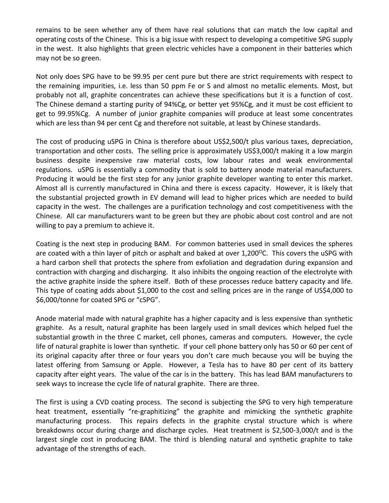remains to be seen whether any of them have real solutions that can match the low capital and operating costs of the Chinese. This is a big issue with respect to developing a competitive SPG supply in the west. It also highlights that green electric vehicles have a component in their batteries which may not be so green.

Not only does SPG have to be 99.95 per cent pure but there are strict requirements with respect to the remaining impurities, i.e. less than 50 ppm Fe or S and almost no metallic elements. Most, but probably not all, graphite concentrates can achieve these specifications but it is a function of cost. The Chinese demand a starting purity of 94%Cg, or better yet 95%Cg, and it must be cost efficient to get to 99.95%Cg. A number of junior graphite companies will produce at least some concentrates which are less than 94 per cent Cg and therefore not suitable, at least by Chinese standards.

The cost of producing uSPG in China is therefore about US\$2,500/t plus various taxes, depreciation, transportation and other costs. The selling price is approximately US\$3,000/t making it a low margin business despite inexpensive raw material costs, low labour rates and weak environmental regulations. uSPG is essentially a commodity that is sold to battery anode material manufacturers. Producing it would be the first step for any junior graphite developer wanting to enter this market. Almost all is currently manufactured in China and there is excess capacity. However, it is likely that the substantial projected growth in EV demand will lead to higher prices which are needed to build capacity in the west. The challenges are a purification technology and cost competitiveness with the Chinese. All car manufacturers want to be green but they are phobic about cost control and are not willing to pay a premium to achieve it.

Coating is the next step in producing BAM. For common batteries used in small devices the spheres are coated with a thin layer of pitch or asphalt and baked at over 1,200°C. This covers the uSPG with a hard carbon shell that protects the sphere from exfoliation and degradation during expansion and contraction with charging and discharging. It also inhibits the ongoing reaction of the electrolyte with the active graphite inside the sphere itself. Both of these processes reduce battery capacity and life. This type of coating adds about \$1,000 to the cost and selling prices are in the range of US\$4,000 to \$6,000/tonne for coated SPG or "cSPG".

Anode material made with natural graphite has a higher capacity and is less expensive than synthetic graphite. As a result, natural graphite has been largely used in small devices which helped fuel the substantial growth in the three C market, cell phones, cameras and computers. However, the cycle life of natural graphite is lower than synthetic. If your cell phone battery only has 50 or 60 per cent of its original capacity after three or four years you don't care much because you will be buying the latest offering from Samsung or Apple. However, a Tesla has to have 80 per cent of its battery capacity after eight years. The value of the car is in the battery. This has lead BAM manufacturers to seek ways to increase the cycle life of natural graphite. There are three.

The first is using a CVD coating process. The second is subjecting the SPG to very high temperature heat treatment, essentially "re-graphitizing" the graphite and mimicking the synthetic graphite manufacturing process. This repairs defects in the graphite crystal structure which is where breakdowns occur during charge and discharge cycles. Heat treatment is \$2,500-3,000/t and is the largest single cost in producing BAM. The third is blending natural and synthetic graphite to take advantage of the strengths of each.